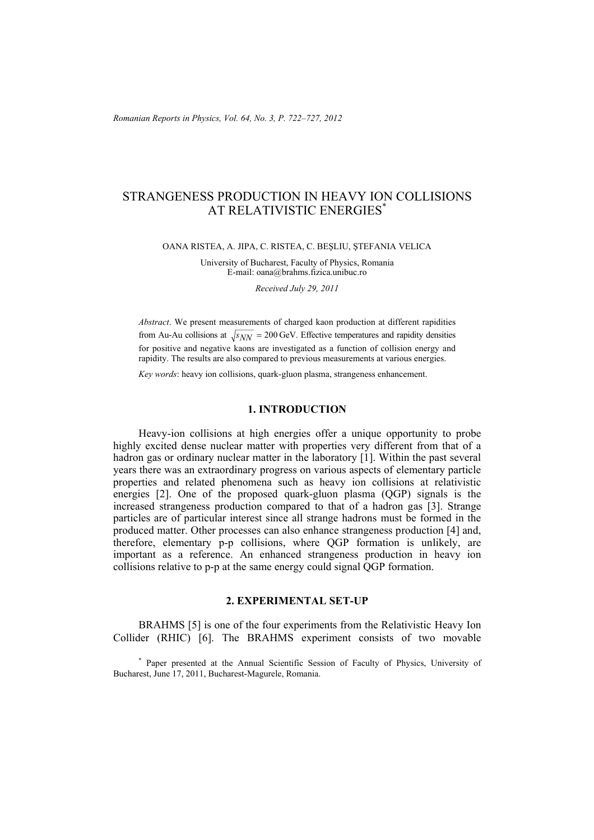# STRANGENESS PRODUCTION IN HEAVY ION COLLISIONS AT RELATIVISTIC ENERGIES\*

OANA RISTEA, A. JIPA, C. RISTEA, C. BEŞLIU, ŞTEFANIA VELICA

University of Bucharest, Faculty of Physics, Romania E-mail: oana@brahms.fizica.unibuc.ro

*Received July 29, 2011* 

*Abstract*. We present measurements of charged kaon production at different rapidities from Au-Au collisions at  $\sqrt{s_{NN}}$  = 200 GeV. Effective temperatures and rapidity densities for positive and negative kaons are investigated as a function of collision energy and rapidity. The results are also compared to previous measurements at various energies.

*Key words*: heavy ion collisions, quark-gluon plasma, strangeness enhancement.

## **1. INTRODUCTION**

Heavy-ion collisions at high energies offer a unique opportunity to probe highly excited dense nuclear matter with properties very different from that of a hadron gas or ordinary nuclear matter in the laboratory [1]. Within the past several years there was an extraordinary progress on various aspects of elementary particle properties and related phenomena such as heavy ion collisions at relativistic energies [2]. One of the proposed quark-gluon plasma (QGP) signals is the increased strangeness production compared to that of a hadron gas [3]. Strange particles are of particular interest since all strange hadrons must be formed in the produced matter. Other processes can also enhance strangeness production [4] and, therefore, elementary p-p collisions, where QGP formation is unlikely, are important as a reference. An enhanced strangeness production in heavy ion collisions relative to p-p at the same energy could signal QGP formation.

# **2. EXPERIMENTAL SET-UP**

BRAHMS [5] is one of the four experiments from the Relativistic Heavy Ion Collider (RHIC) [6]. The BRAHMS experiment consists of two movable

\* Paper presented at the Annual Scientific Session of Faculty of Physics, University of Bucharest, June 17, 2011, Bucharest-Magurele, Romania.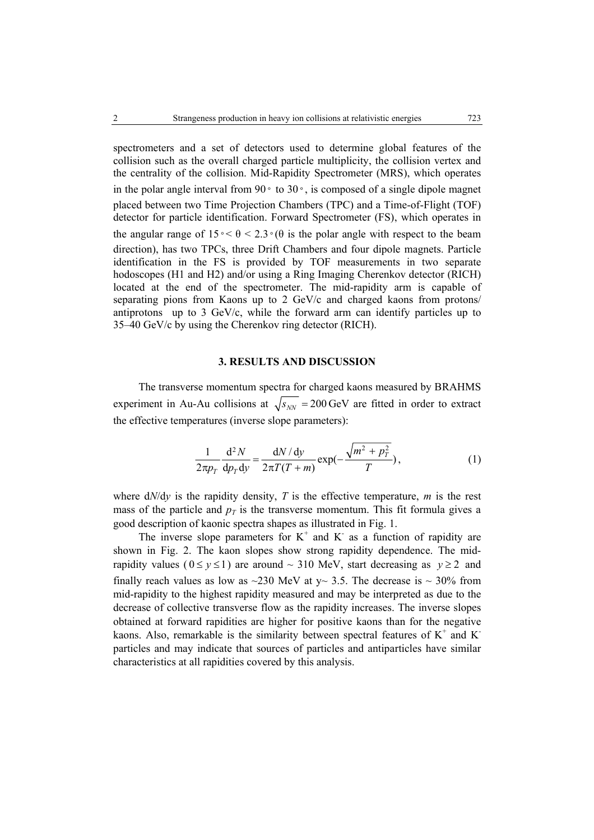spectrometers and a set of detectors used to determine global features of the collision such as the overall charged particle multiplicity, the collision vertex and the centrality of the collision. Mid-Rapidity Spectrometer (MRS), which operates in the polar angle interval from 90◦ to 30◦, is composed of a single dipole magnet placed between two Time Projection Chambers (TPC) and a Time-of-Flight (TOF) detector for particle identification. Forward Spectrometer (FS), which operates in the angular range of  $15 \text{°} < \theta < 2.3 \text{°}(\theta)$  is the polar angle with respect to the beam direction), has two TPCs, three Drift Chambers and four dipole magnets. Particle identification in the FS is provided by TOF measurements in two separate hodoscopes (H1 and H2) and/or using a Ring Imaging Cherenkov detector (RICH) located at the end of the spectrometer. The mid-rapidity arm is capable of separating pions from Kaons up to 2 GeV/c and charged kaons from protons/ antiprotons up to 3 GeV/c, while the forward arm can identify particles up to 35–40 GeV/c by using the Cherenkov ring detector (RICH).

#### **3. RESULTS AND DISCUSSION**

The transverse momentum spectra for charged kaons measured by BRAHMS experiment in Au-Au collisions at  $\sqrt{s_{NN}}$  = 200 GeV are fitted in order to extract the effective temperatures (inverse slope parameters):

$$
\frac{1}{2\pi p_{T}}\frac{d^{2}N}{dp_{T}dy} = \frac{dN/dy}{2\pi T(T+m)}\exp(-\frac{\sqrt{m^{2}+p_{T}^{2}}}{T}),
$$
\n(1)

where  $dN/dy$  is the rapidity density,  $T$  is the effective temperature,  $m$  is the rest mass of the particle and  $p<sub>T</sub>$  is the transverse momentum. This fit formula gives a good description of kaonic spectra shapes as illustrated in Fig. 1.

The inverse slope parameters for  $K^+$  and  $K^-$  as a function of rapidity are shown in Fig. 2. The kaon slopes show strong rapidity dependence. The midrapidity values ( $0 \le y \le 1$ ) are around ~ 310 MeV, start decreasing as  $y \ge 2$  and finally reach values as low as  $\sim$ 230 MeV at y $\sim$  3.5. The decrease is  $\sim$  30% from mid-rapidity to the highest rapidity measured and may be interpreted as due to the decrease of collective transverse flow as the rapidity increases. The inverse slopes obtained at forward rapidities are higher for positive kaons than for the negative kaons. Also, remarkable is the similarity between spectral features of  $K^+$  and  $K^$ particles and may indicate that sources of particles and antiparticles have similar characteristics at all rapidities covered by this analysis.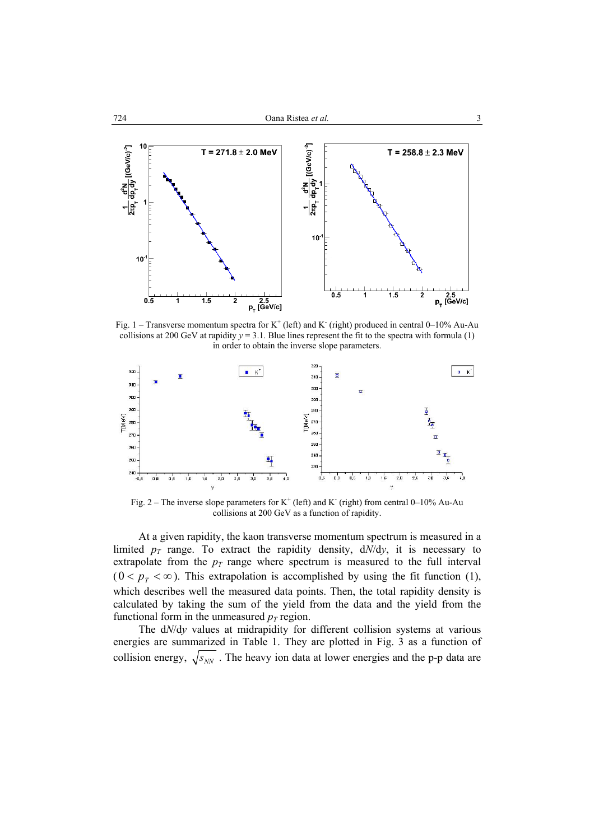

Fig. 1 – Transverse momentum spectra for  $K^+$  (left) and K (right) produced in central 0–10% Au-Au collisions at 200 GeV at rapidity  $y = 3.1$ . Blue lines represent the fit to the spectra with formula (1) in order to obtain the inverse slope parameters.



Fig. 2 – The inverse slope parameters for  $K^+$  (left) and K (right) from central 0–10% Au-Au collisions at 200 GeV as a function of rapidity.

At a given rapidity, the kaon transverse momentum spectrum is measured in a limited  $p_T$  range. To extract the rapidity density,  $dN/dy$ , it is necessary to extrapolate from the  $p_T$  range where spectrum is measured to the full interval  $(0 < p_T < \infty)$ . This extrapolation is accomplished by using the fit function (1), which describes well the measured data points. Then, the total rapidity density is calculated by taking the sum of the yield from the data and the yield from the functional form in the unmeasured  $p_T$  region.

The d*N*/d*y* values at midrapidity for different collision systems at various energies are summarized in Table 1. They are plotted in Fig. 3 as a function of collision energy,  $\sqrt{s_{NN}}$ . The heavy ion data at lower energies and the p-p data are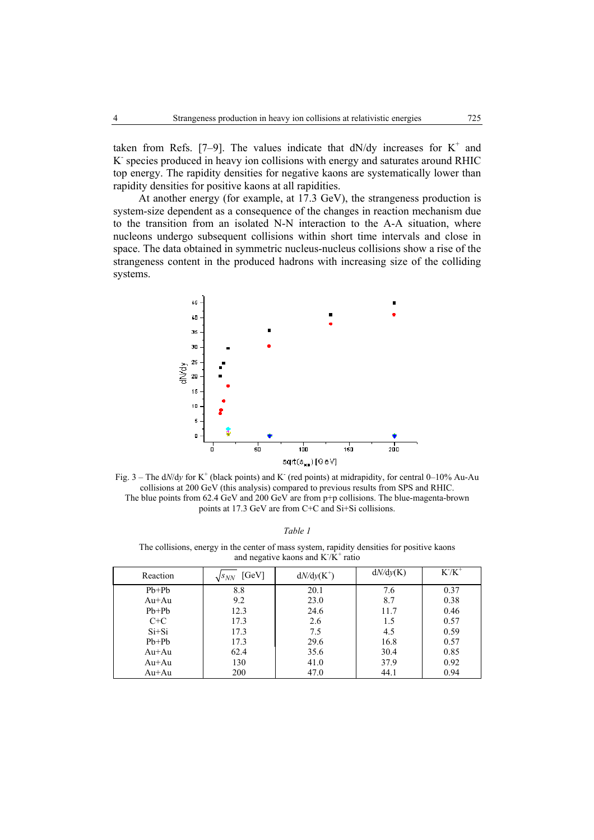taken from Refs. [7–9]. The values indicate that  $dN/dy$  increases for  $K^+$  and K- species produced in heavy ion collisions with energy and saturates around RHIC top energy. The rapidity densities for negative kaons are systematically lower than rapidity densities for positive kaons at all rapidities.

At another energy (for example, at 17.3 GeV), the strangeness production is system-size dependent as a consequence of the changes in reaction mechanism due to the transition from an isolated N-N interaction to the A-A situation, where nucleons undergo subsequent collisions within short time intervals and close in space. The data obtained in symmetric nucleus-nucleus collisions show a rise of the strangeness content in the produced hadrons with increasing size of the colliding systems.



Fig.  $3$  – The d*N*/dy for K<sup>+</sup> (black points) and K<sup>-</sup> (red points) at midrapidity, for central 0–10% Au-Au collisions at 200 GeV (this analysis) compared to previous results from SPS and RHIC. The blue points from 62.4 GeV and 200 GeV are from p+p collisions. The blue-magenta-brown points at 17.3 GeV are from C+C and Si+Si collisions.

The collisions, energy in the center of mass system, rapidity densities for positive kaons and negative kaons and  $K/K^+$  ratio

| Reaction | [GeV]<br>$\sqrt{s_{NN}}$ | $dN/dy(K^+)$ | dN/dy(K) | $K/K^+$ |
|----------|--------------------------|--------------|----------|---------|
| $Pb+Pb$  | 8.8                      | 20.1         | 7.6      | 0.37    |
| $Au+Au$  | 9.2                      | 23.0         | 8.7      | 0.38    |
| $Pb+Pb$  | 12.3                     | 24.6         | 11.7     | 0.46    |
| $C+C$    | 17.3                     | 2.6          | 1.5      | 0.57    |
| $Si+Si$  | 17.3                     | 7.5          | 4.5      | 0.59    |
| $Pb+Pb$  | 17.3                     | 29.6         | 16.8     | 0.57    |
| Au+Au    | 62.4                     | 35.6         | 30.4     | 0.85    |
| Au+Au    | 130                      | 41.0         | 37.9     | 0.92    |
| $Au+Au$  | 200                      | 47.0         | 44.1     | 0.94    |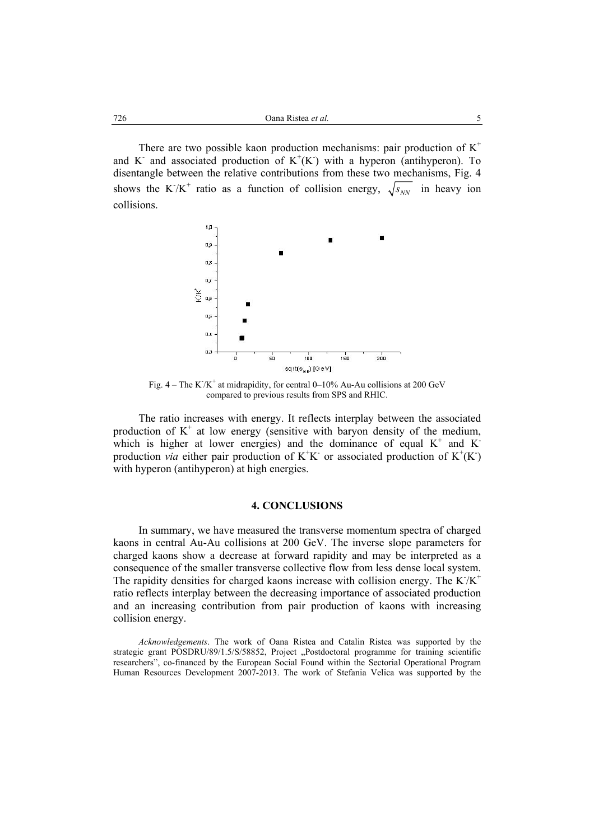There are two possible kaon production mechanisms: pair production of  $K^+$ and K<sup>-</sup> and associated production of  $K^+(K)$  with a hyperon (antihyperon). To disentangle between the relative contributions from these two mechanisms, Fig. 4 shows the K<sup>-</sup>/K<sup>+</sup> ratio as a function of collision energy,  $\sqrt{s_{NN}}$  in heavy ion collisions.



Fig.  $4 -$ The K $/K^+$  at midrapidity, for central 0–10% Au-Au collisions at 200 GeV compared to previous results from SPS and RHIC.

The ratio increases with energy. It reflects interplay between the associated production of  $K^+$  at low energy (sensitive with baryon density of the medium, which is higher at lower energies) and the dominance of equal  $K^+$  and  $K^$ production *via* either pair production of  $K^+K^-$  or associated production of  $K^+(K^-)$ with hyperon (antihyperon) at high energies.

#### **4. CONCLUSIONS**

In summary, we have measured the transverse momentum spectra of charged kaons in central Au-Au collisions at 200 GeV. The inverse slope parameters for charged kaons show a decrease at forward rapidity and may be interpreted as a consequence of the smaller transverse collective flow from less dense local system. The rapidity densities for charged kaons increase with collision energy. The  $K/K^+$ ratio reflects interplay between the decreasing importance of associated production and an increasing contribution from pair production of kaons with increasing collision energy.

*Acknowledgements*. The work of Oana Ristea and Catalin Ristea was supported by the strategic grant POSDRU/89/1.5/S/58852, Project "Postdoctoral programme for training scientific researchers", co-financed by the European Social Found within the Sectorial Operational Program Human Resources Development 2007-2013. The work of Stefania Velica was supported by the